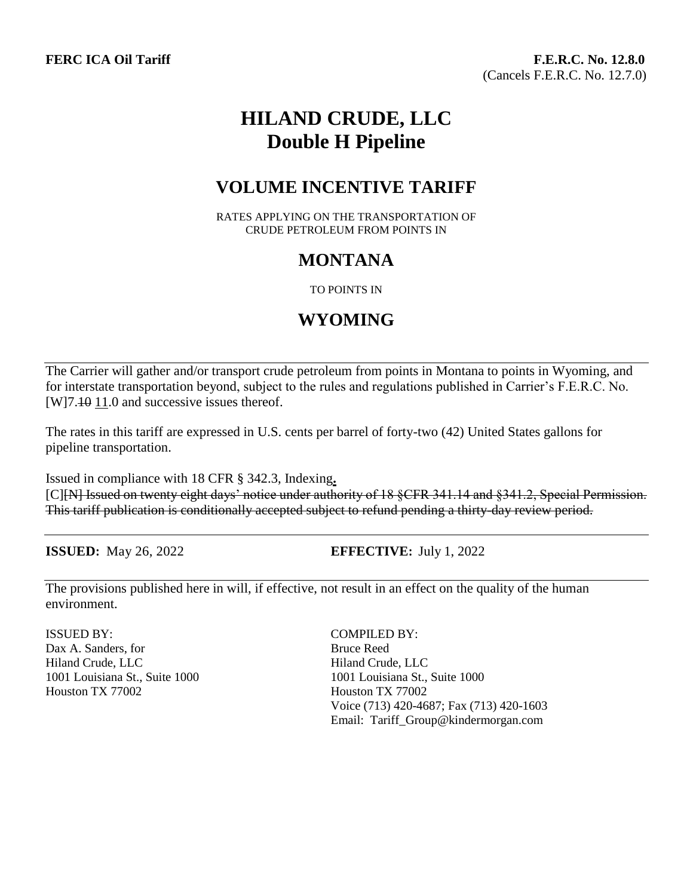# **HILAND CRUDE, LLC Double H Pipeline**

## **VOLUME INCENTIVE TARIFF**

RATES APPLYING ON THE TRANSPORTATION OF CRUDE PETROLEUM FROM POINTS IN

## **MONTANA**

#### TO POINTS IN

## **WYOMING**

The Carrier will gather and/or transport crude petroleum from points in Montana to points in Wyoming, and for interstate transportation beyond, subject to the rules and regulations published in Carrier's F.E.R.C. No. [W]7.40 11.0 and successive issues thereof.

The rates in this tariff are expressed in U.S. cents per barrel of forty-two (42) United States gallons for pipeline transportation.

Issued in compliance with 18 CFR § 342.3, Indexing**.** [C][N] Issued on twenty eight days' notice under authority of 18 §CFR 341.14 and §341.2, Special Permission. This tariff publication is conditionally accepted subject to refund pending a thirty-day review period.

**ISSUED**: May 26, 2022 **EFFECTIVE**: July 1, 2022

The provisions published here in will, if effective, not result in an effect on the quality of the human environment.

ISSUED BY: COMPILED BY: Dax A. Sanders, for Bruce Reed Hiland Crude, LLC Hiland Crude, LLC 1001 Louisiana St., Suite 1000 1001 Louisiana St., Suite 1000 Houston TX 77002 Houston TX 77002

Voice (713) 420-4687; Fax (713) 420-1603 Email: Tariff\_Group@kindermorgan.com